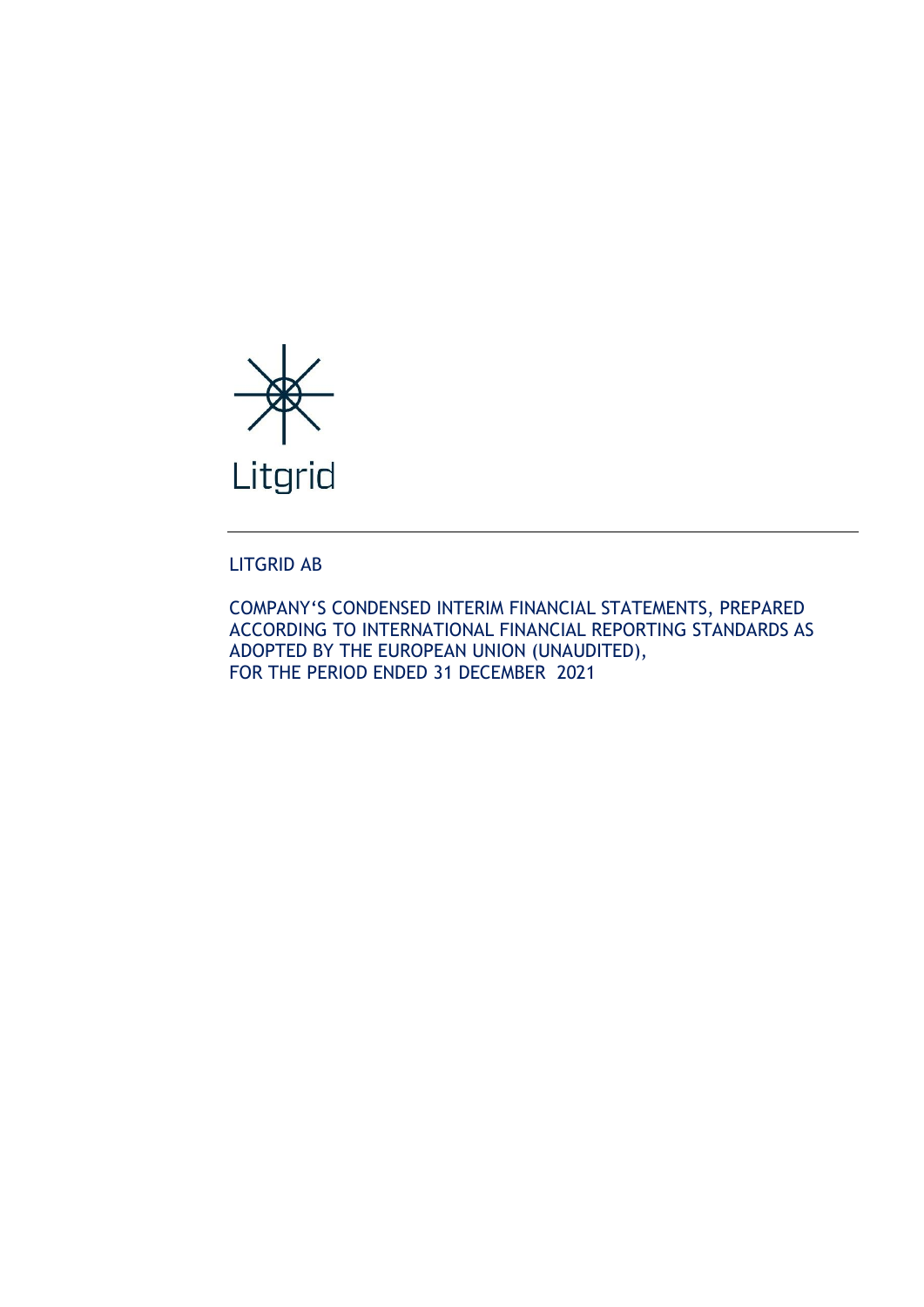

# LITGRID AB

COMPANY'S CONDENSED INTERIM FINANCIAL STATEMENTS, PREPARED ACCORDING TO INTERNATIONAL FINANCIAL REPORTING STANDARDS AS ADOPTED BY THE EUROPEAN UNION (UNAUDITED), FOR THE PERIOD ENDED 31 DECEMBER 2021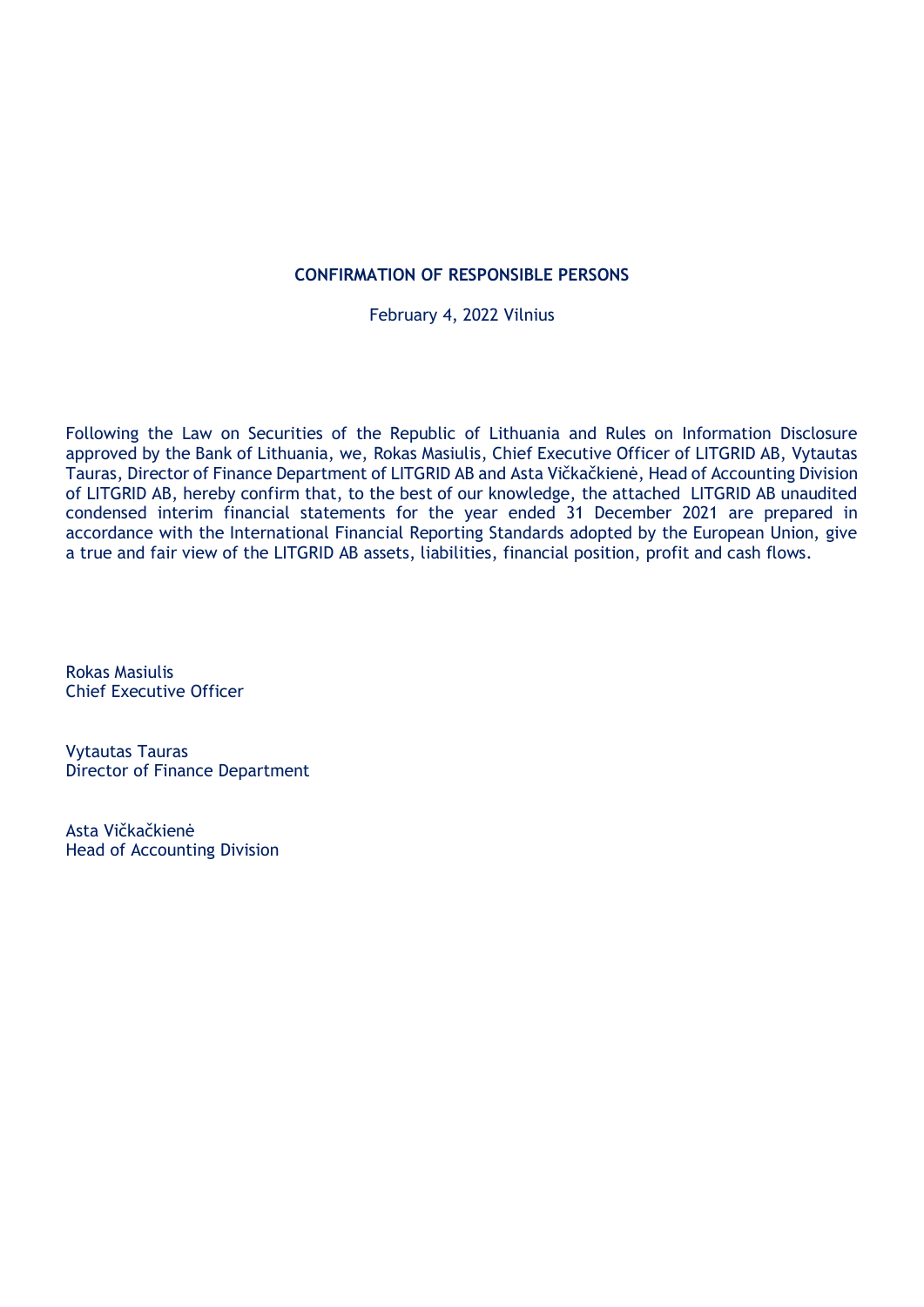# **CONFIRMATION OF RESPONSIBLE PERSONS**

February 4, 2022 Vilnius

Following the Law on Securities of the Republic of Lithuania and Rules on Information Disclosure approved by the Bank of Lithuania, we, Rokas Masiulis, Chief Executive Officer of LITGRID AB, Vytautas Tauras, Director of Finance Department of LITGRID AB and Asta Vičkačkienė, Head of Accounting Division of LITGRID AB, hereby confirm that, to the best of our knowledge, the attached LITGRID AB unaudited condensed interim financial statements for the year ended 31 December 2021 are prepared in accordance with the International Financial Reporting Standards adopted by the European Union, give a true and fair view of the LITGRID AB assets, liabilities, financial position, profit and cash flows.

Rokas Masiulis Chief Executive Officer

Vytautas Tauras Director of Finance Department

Asta Vičkačkienė Head of Accounting Division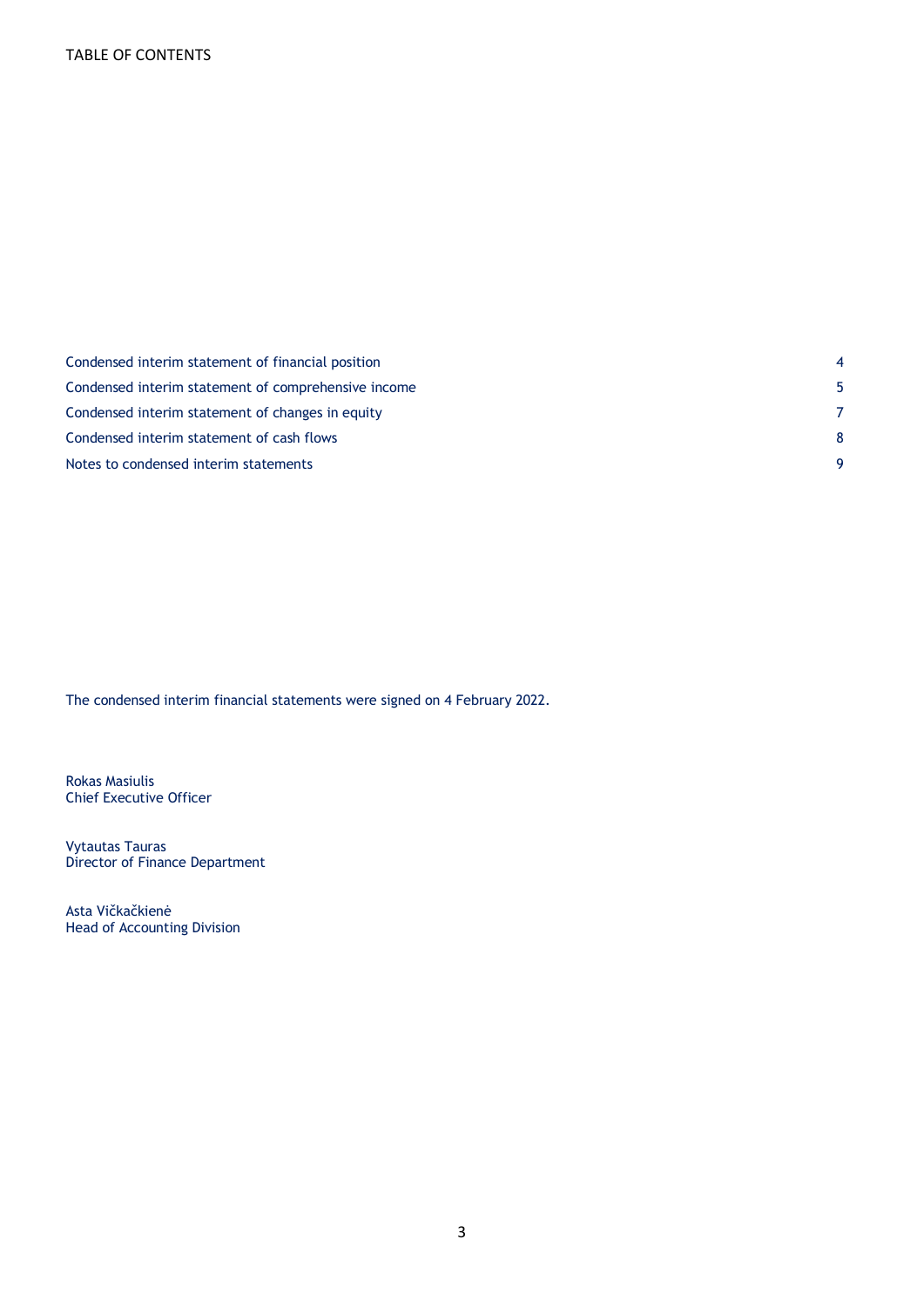| Condensed interim statement of financial position   |  |
|-----------------------------------------------------|--|
| Condensed interim statement of comprehensive income |  |
| Condensed interim statement of changes in equity    |  |
| Condensed interim statement of cash flows           |  |
| Notes to condensed interim statements               |  |

The condensed interim financial statements were signed on 4 February 2022.

Rokas Masiulis Chief Executive Officer

Vytautas Tauras Director of Finance Department

Asta Vičkačkienė Head of Accounting Division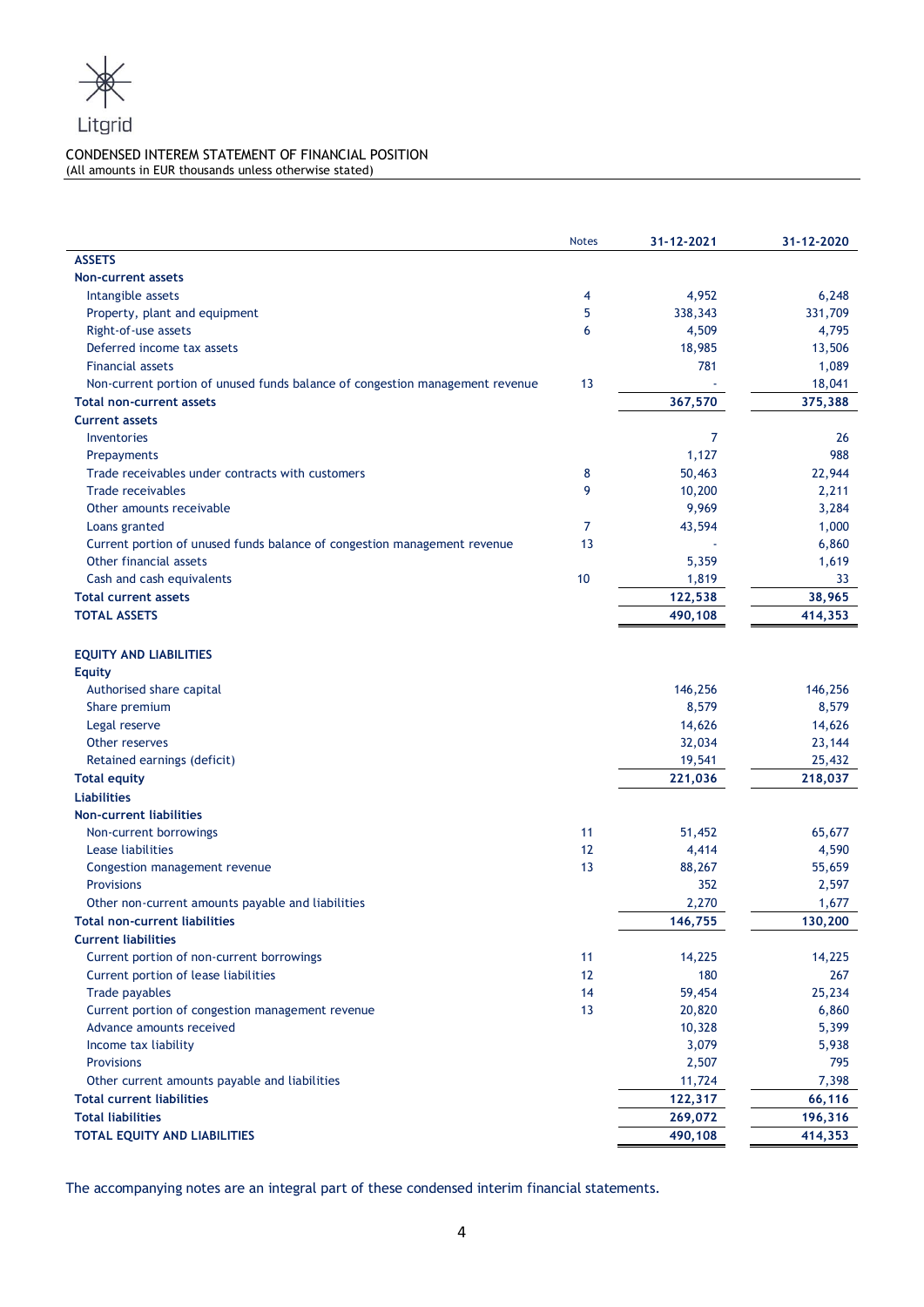

## CONDENSED INTEREM STATEMENT OF FINANCIAL POSITION (All amounts in EUR thousands unless otherwise stated)

|                                                                              | <b>Notes</b> | 31-12-2021 | 31-12-2020 |
|------------------------------------------------------------------------------|--------------|------------|------------|
| <b>ASSETS</b>                                                                |              |            |            |
| <b>Non-current assets</b>                                                    |              |            |            |
| Intangible assets                                                            | 4            | 4,952      | 6,248      |
| Property, plant and equipment                                                | 5            | 338,343    | 331,709    |
| Right-of-use assets                                                          | 6            | 4,509      | 4,795      |
| Deferred income tax assets                                                   |              | 18,985     | 13,506     |
| <b>Financial assets</b>                                                      |              | 781        | 1,089      |
| Non-current portion of unused funds balance of congestion management revenue | 13           |            | 18,041     |
| <b>Total non-current assets</b>                                              |              | 367,570    | 375,388    |
| <b>Current assets</b>                                                        |              |            |            |
| Inventories                                                                  |              | 7          | 26         |
| Prepayments                                                                  |              | 1,127      | 988        |
| Trade receivables under contracts with customers                             | 8            | 50,463     | 22,944     |
| <b>Trade receivables</b>                                                     | 9            | 10,200     | 2,211      |
| Other amounts receivable                                                     |              | 9,969      | 3,284      |
| Loans granted                                                                | 7            | 43,594     | 1,000      |
| Current portion of unused funds balance of congestion management revenue     | 13           |            | 6,860      |
| Other financial assets                                                       |              | 5,359      | 1,619      |
| Cash and cash equivalents                                                    | 10           | 1,819      | 33         |
| <b>Total current assets</b>                                                  |              | 122,538    | 38,965     |
| <b>TOTAL ASSETS</b>                                                          |              | 490,108    | 414,353    |
|                                                                              |              |            |            |
| <b>EQUITY AND LIABILITIES</b>                                                |              |            |            |
| <b>Equity</b>                                                                |              |            |            |
| Authorised share capital                                                     |              | 146,256    | 146,256    |
| Share premium                                                                |              | 8,579      | 8,579      |
| Legal reserve                                                                |              | 14,626     | 14,626     |
| Other reserves                                                               |              | 32,034     | 23,144     |
| Retained earnings (deficit)                                                  |              | 19,541     | 25,432     |
| <b>Total equity</b>                                                          |              | 221,036    | 218,037    |
| <b>Liabilities</b>                                                           |              |            |            |
| <b>Non-current liabilities</b>                                               |              |            |            |
| Non-current borrowings                                                       | 11           | 51,452     | 65,677     |
| Lease liabilities                                                            | 12           | 4,414      | 4,590      |
| Congestion management revenue                                                | 13           | 88,267     | 55,659     |
| <b>Provisions</b>                                                            |              | 352        | 2,597      |
| Other non-current amounts payable and liabilities                            |              | 2,270      | 1,677      |
| <b>Total non-current liabilities</b>                                         |              | 146,755    | 130,200    |
| <b>Current liabilities</b>                                                   |              |            |            |
| Current portion of non-current borrowings                                    | 11           | 14,225     | 14,225     |
| Current portion of lease liabilities                                         | 12           | 180        | 267        |
| Trade payables                                                               | 14           | 59,454     | 25,234     |
| Current portion of congestion management revenue                             | 13           | 20,820     | 6,860      |
| Advance amounts received                                                     |              | 10,328     | 5,399      |
| Income tax liability                                                         |              | 3,079      | 5,938      |
| <b>Provisions</b>                                                            |              | 2,507      | 795        |
| Other current amounts payable and liabilities                                |              | 11,724     | 7,398      |
| <b>Total current liabilities</b>                                             |              | 122,317    | 66,116     |
| <b>Total liabilities</b>                                                     |              | 269,072    | 196,316    |
| TOTAL EQUITY AND LIABILITIES                                                 |              | 490,108    | 414,353    |
|                                                                              |              |            |            |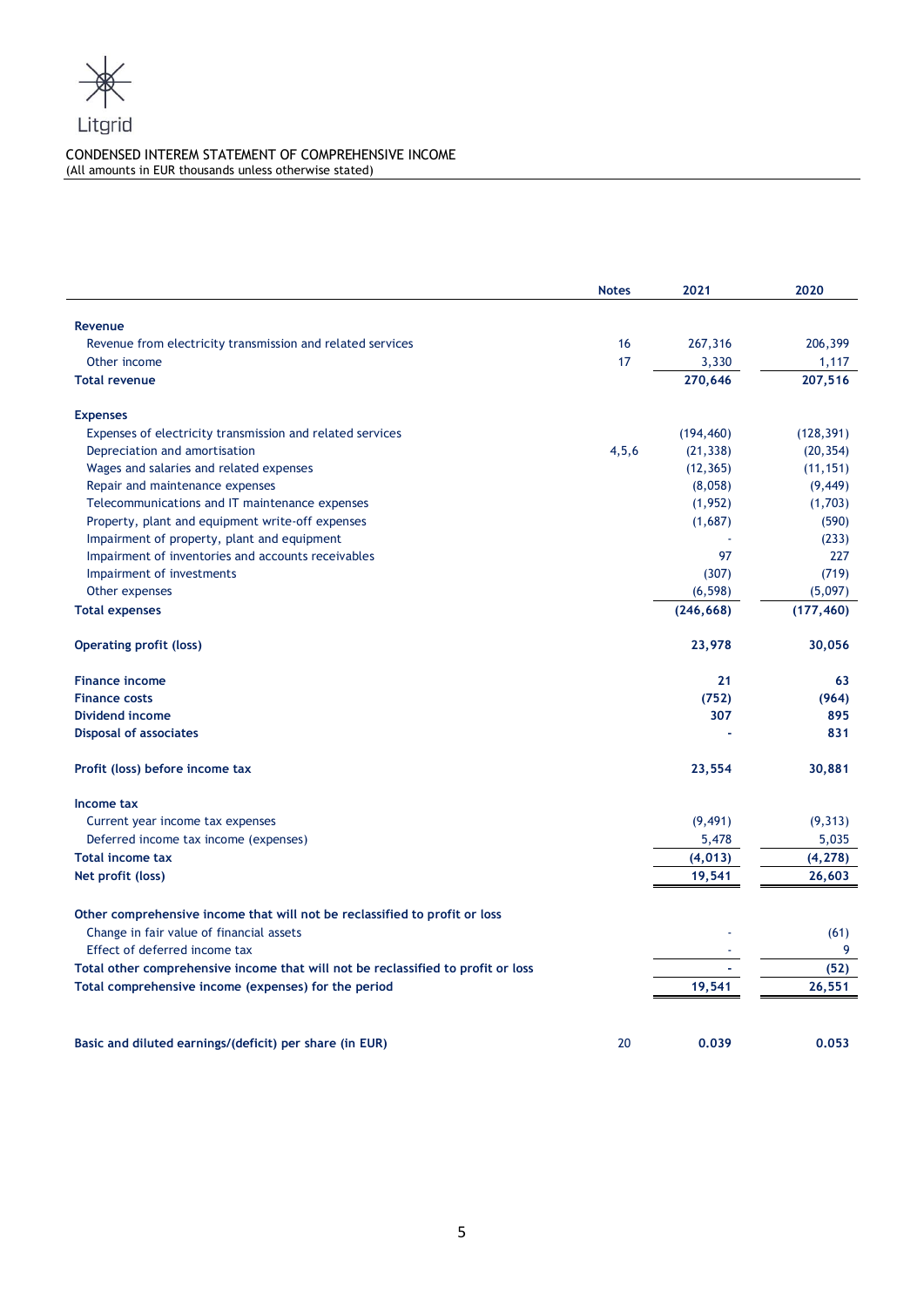

# CONDENSED INTEREM STATEMENT OF COMPREHENSIVE INCOME (All amounts in EUR thousands unless otherwise stated)

|                                                                                  | <b>Notes</b> | 2021       | 2020       |
|----------------------------------------------------------------------------------|--------------|------------|------------|
| Revenue                                                                          |              |            |            |
| Revenue from electricity transmission and related services                       | 16           | 267,316    | 206,399    |
| Other income                                                                     | 17           | 3,330      | 1,117      |
| <b>Total revenue</b>                                                             |              | 270,646    | 207,516    |
| <b>Expenses</b>                                                                  |              |            |            |
| Expenses of electricity transmission and related services                        |              | (194, 460) | (128, 391) |
| Depreciation and amortisation                                                    | 4, 5, 6      | (21, 338)  | (20, 354)  |
| Wages and salaries and related expenses                                          |              | (12, 365)  | (11, 151)  |
| Repair and maintenance expenses                                                  |              | (8,058)    | (9, 449)   |
| Telecommunications and IT maintenance expenses                                   |              | (1,952)    | (1,703)    |
| Property, plant and equipment write-off expenses                                 |              | (1,687)    | (590)      |
| Impairment of property, plant and equipment                                      |              |            | (233)      |
| Impairment of inventories and accounts receivables                               |              | 97         | 227        |
| Impairment of investments                                                        |              | (307)      | (719)      |
| Other expenses                                                                   |              | (6, 598)   | (5,097)    |
| <b>Total expenses</b>                                                            |              | (246, 668) | (177, 460) |
| <b>Operating profit (loss)</b>                                                   |              | 23,978     | 30,056     |
| <b>Finance income</b>                                                            |              | 21         | 63         |
| <b>Finance costs</b>                                                             |              | (752)      | (964)      |
| Dividend income                                                                  |              | 307        | 895        |
| <b>Disposal of associates</b>                                                    |              |            | 831        |
| Profit (loss) before income tax                                                  |              | 23,554     | 30,881     |
| Income tax                                                                       |              |            |            |
| Current year income tax expenses                                                 |              | (9, 491)   | (9, 313)   |
| Deferred income tax income (expenses)                                            |              | 5,478      | 5,035      |
| <b>Total income tax</b>                                                          |              | (4, 013)   | (4, 278)   |
| Net profit (loss)                                                                |              | 19,541     | 26,603     |
| Other comprehensive income that will not be reclassified to profit or loss       |              |            |            |
| Change in fair value of financial assets<br>Effect of deferred income tax        |              |            | (61)<br>9  |
| Total other comprehensive income that will not be reclassified to profit or loss |              |            | (52)       |
|                                                                                  |              | 19,541     | 26,551     |
| Total comprehensive income (expenses) for the period                             |              |            |            |
| Basic and diluted earnings/(deficit) per share (in EUR)                          | 20           | 0.039      | 0.053      |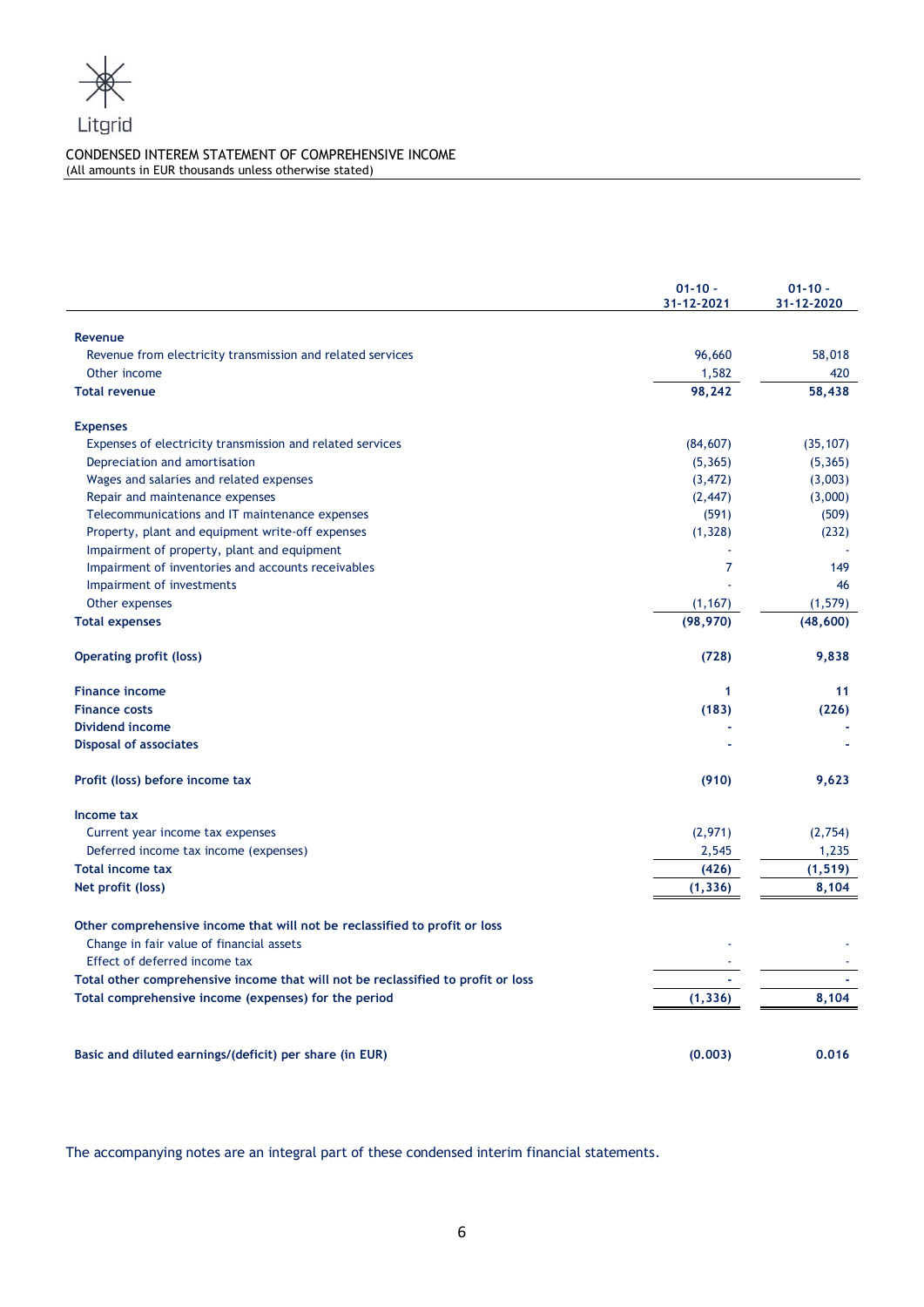

# CONDENSED INTEREM STATEMENT OF COMPREHENSIVE INCOME (All amounts in EUR thousands unless otherwise stated)

|                                                                                  | $01 - 10 -$<br>31-12-2021 | $01 - 10 -$<br>31-12-2020 |
|----------------------------------------------------------------------------------|---------------------------|---------------------------|
| <b>Revenue</b>                                                                   |                           |                           |
| Revenue from electricity transmission and related services                       | 96,660                    | 58,018                    |
| Other income                                                                     | 1,582                     | 420                       |
| <b>Total revenue</b>                                                             | 98,242                    | 58,438                    |
| <b>Expenses</b>                                                                  |                           |                           |
| Expenses of electricity transmission and related services                        | (84, 607)                 | (35, 107)                 |
| Depreciation and amortisation                                                    | (5, 365)                  | (5, 365)                  |
| Wages and salaries and related expenses                                          | (3, 472)                  | (3,003)                   |
| Repair and maintenance expenses                                                  | (2, 447)                  | (3,000)                   |
| Telecommunications and IT maintenance expenses                                   | (591)                     | (509)                     |
| Property, plant and equipment write-off expenses                                 | (1, 328)                  | (232)                     |
| Impairment of property, plant and equipment                                      |                           |                           |
| Impairment of inventories and accounts receivables                               | $\overline{7}$            | 149                       |
| Impairment of investments                                                        |                           | 46                        |
| Other expenses                                                                   | (1, 167)                  | (1, 579)                  |
| <b>Total expenses</b>                                                            | (98, 970)                 | (48, 600)                 |
| <b>Operating profit (loss)</b>                                                   | (728)                     | 9,838                     |
| <b>Finance income</b>                                                            | 1                         | 11                        |
| <b>Finance costs</b>                                                             | (183)                     | (226)                     |
| Dividend income                                                                  |                           |                           |
| <b>Disposal of associates</b>                                                    |                           |                           |
| Profit (loss) before income tax                                                  | (910)                     | 9,623                     |
| Income tax                                                                       |                           |                           |
| Current year income tax expenses                                                 | (2,971)                   | (2,754)                   |
| Deferred income tax income (expenses)                                            | 2,545                     | 1,235                     |
| <b>Total income tax</b>                                                          | (426)                     | (1, 519)                  |
| Net profit (loss)                                                                | (1, 336)                  | 8,104                     |
| Other comprehensive income that will not be reclassified to profit or loss       |                           |                           |
| Change in fair value of financial assets                                         |                           |                           |
| Effect of deferred income tax                                                    |                           |                           |
| Total other comprehensive income that will not be reclassified to profit or loss |                           |                           |
| Total comprehensive income (expenses) for the period                             | (1, 336)                  | 8,104                     |
|                                                                                  |                           |                           |
| Basic and diluted earnings/(deficit) per share (in EUR)                          | (0.003)                   | 0.016                     |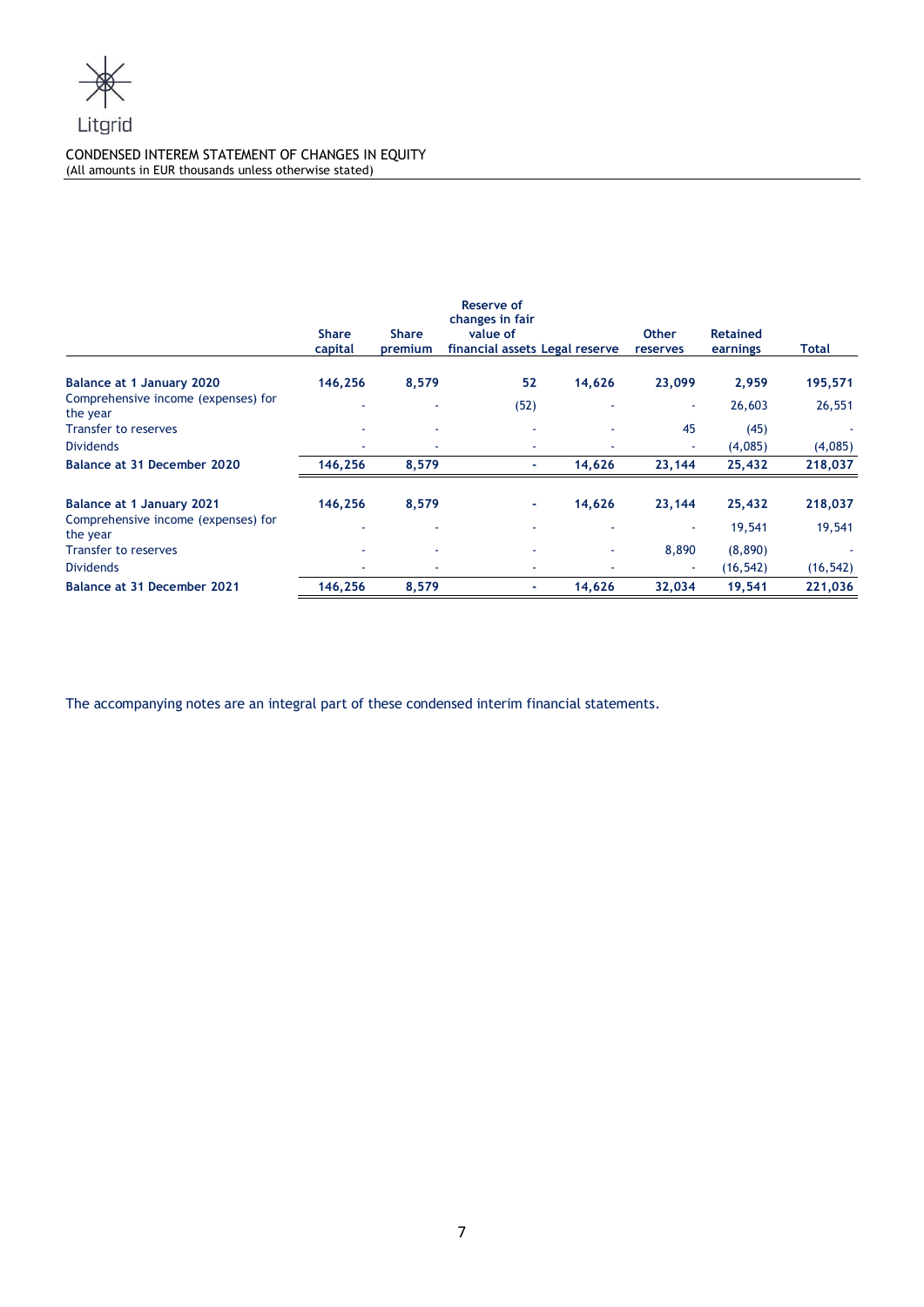

## CONDENSED INTEREM STATEMENT OF CHANGES IN EQUITY (All amounts in EUR thousands unless otherwise stated)

|                                                 |                         |                         | <b>Reserve of</b><br>changes in fair       |        |                          |                             |           |
|-------------------------------------------------|-------------------------|-------------------------|--------------------------------------------|--------|--------------------------|-----------------------------|-----------|
|                                                 | <b>Share</b><br>capital | <b>Share</b><br>premium | value of<br>financial assets Legal reserve |        | <b>Other</b><br>reserves | <b>Retained</b><br>earnings | Total     |
| Balance at 1 January 2020                       | 146,256                 | 8,579                   | 52                                         | 14,626 | 23,099                   | 2,959                       | 195,571   |
| Comprehensive income (expenses) for<br>the year |                         |                         | (52)                                       |        |                          | 26,603                      | 26,551    |
| <b>Transfer to reserves</b>                     |                         | ۰                       | ٠                                          |        | 45                       | (45)                        |           |
| <b>Dividends</b>                                |                         |                         | ٠                                          |        |                          | (4,085)                     | (4,085)   |
| Balance at 31 December 2020                     | 146,256                 | 8,579                   | ٠                                          | 14,626 | 23,144                   | 25,432                      | 218,037   |
| <b>Balance at 1 January 2021</b>                | 146,256                 | 8,579                   | ۰                                          | 14,626 | 23,144                   | 25,432                      | 218,037   |
| Comprehensive income (expenses) for<br>the year |                         |                         |                                            |        |                          | 19,541                      | 19,541    |
| <b>Transfer to reserves</b>                     |                         | ٠                       | ۰                                          | ٠      | 8,890                    | (8,890)                     |           |
| <b>Dividends</b>                                |                         |                         | ۰                                          |        |                          | (16, 542)                   | (16, 542) |
| Balance at 31 December 2021                     | 146,256                 | 8,579                   | ٠                                          | 14,626 | 32,034                   | 19,541                      | 221,036   |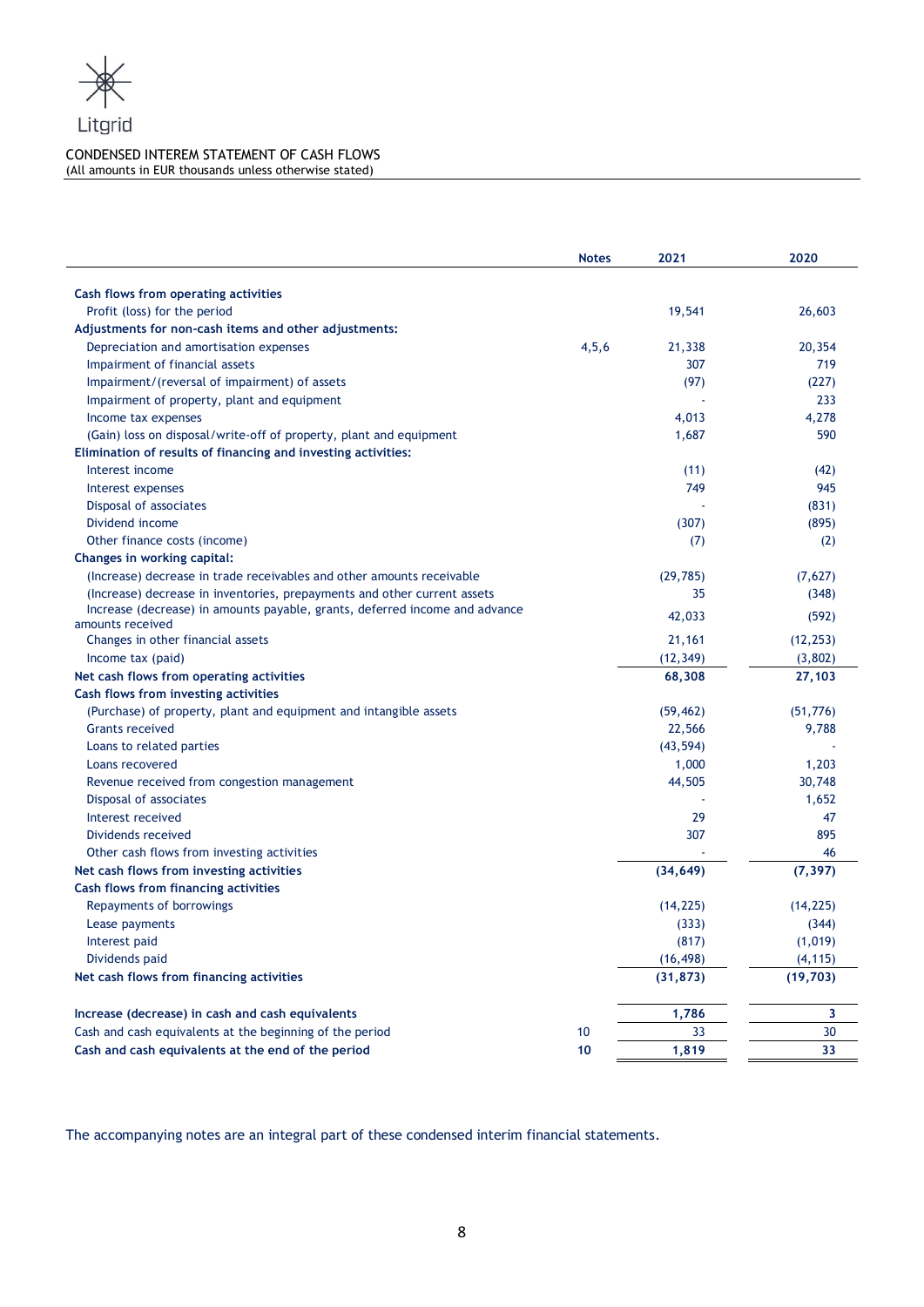

## CONDENSED INTEREM STATEMENT OF CASH FLOWS (All amounts in EUR thousands unless otherwise stated)

|                                                                                                 | <b>Notes</b> | 2021      | 2020      |
|-------------------------------------------------------------------------------------------------|--------------|-----------|-----------|
| Cash flows from operating activities                                                            |              |           |           |
| Profit (loss) for the period                                                                    |              | 19,541    | 26,603    |
| Adjustments for non-cash items and other adjustments:                                           |              |           |           |
| Depreciation and amortisation expenses                                                          | 4, 5, 6      | 21,338    | 20,354    |
| Impairment of financial assets                                                                  |              | 307       | 719       |
| Impairment/(reversal of impairment) of assets                                                   |              | (97)      | (227)     |
| Impairment of property, plant and equipment                                                     |              |           | 233       |
| Income tax expenses                                                                             |              | 4,013     | 4,278     |
| (Gain) loss on disposal/write-off of property, plant and equipment                              |              | 1,687     | 590       |
| Elimination of results of financing and investing activities:                                   |              |           |           |
| Interest income                                                                                 |              | (11)      | (42)      |
| Interest expenses                                                                               |              | 749       | 945       |
| Disposal of associates                                                                          |              |           | (831)     |
| Dividend income                                                                                 |              | (307)     | (895)     |
| Other finance costs (income)                                                                    |              | (7)       | (2)       |
| Changes in working capital:                                                                     |              |           |           |
| (Increase) decrease in trade receivables and other amounts receivable                           |              | (29, 785) | (7,627)   |
| (Increase) decrease in inventories, prepayments and other current assets                        |              | 35        | (348)     |
| Increase (decrease) in amounts payable, grants, deferred income and advance<br>amounts received |              | 42,033    | (592)     |
| Changes in other financial assets                                                               |              | 21,161    | (12, 253) |
| Income tax (paid)                                                                               |              | (12, 349) | (3,802)   |
| Net cash flows from operating activities                                                        |              | 68,308    | 27,103    |
| Cash flows from investing activities                                                            |              |           |           |
| (Purchase) of property, plant and equipment and intangible assets                               |              | (59, 462) | (51, 776) |
| <b>Grants received</b>                                                                          |              | 22,566    | 9,788     |
| Loans to related parties                                                                        |              | (43, 594) |           |
| Loans recovered                                                                                 |              | 1,000     | 1,203     |
| Revenue received from congestion management                                                     |              | 44,505    | 30,748    |
| Disposal of associates                                                                          |              |           | 1,652     |
| Interest received                                                                               |              | 29        | 47        |
| Dividends received                                                                              |              | 307       | 895       |
| Other cash flows from investing activities                                                      |              |           | 46        |
| Net cash flows from investing activities                                                        |              | (34, 649) | (7, 397)  |
| Cash flows from financing activities                                                            |              |           |           |
| Repayments of borrowings                                                                        |              | (14, 225) | (14, 225) |
| Lease payments                                                                                  |              | (333)     | (344)     |
| Interest paid                                                                                   |              | (817)     | (1,019)   |
| Dividends paid                                                                                  |              | (16, 498) | (4, 115)  |
| Net cash flows from financing activities                                                        |              | (31, 873) | (19, 703) |
| Increase (decrease) in cash and cash equivalents                                                |              | 1,786     | 3         |
| Cash and cash equivalents at the beginning of the period                                        | 10           | 33        | 30        |
| Cash and cash equivalents at the end of the period                                              | 10           | 1,819     | 33        |
|                                                                                                 |              |           |           |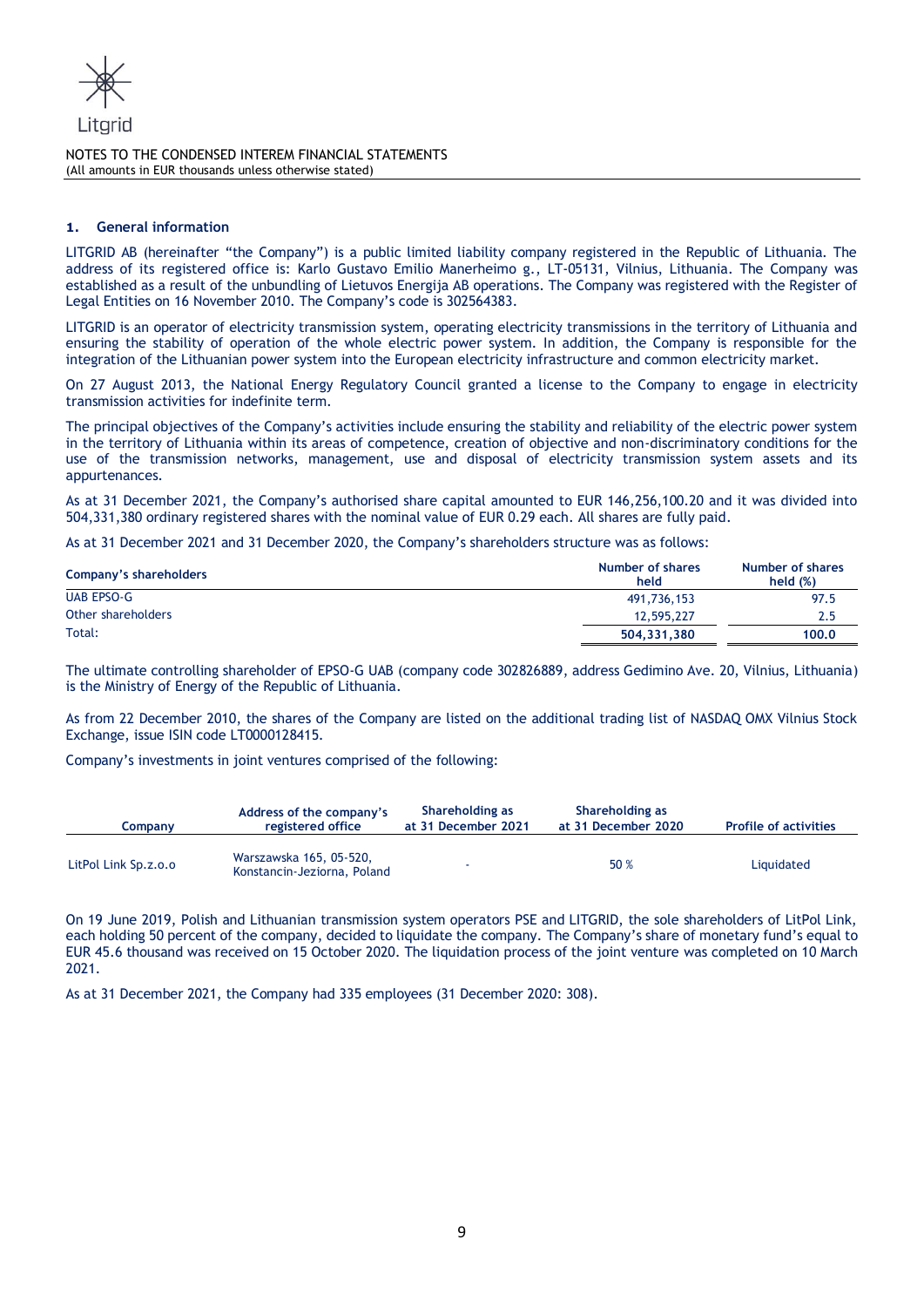

## **1. General information**

LITGRID AB (hereinafter "the Company") is a public limited liability company registered in the Republic of Lithuania. The address of its registered office is: Karlo Gustavo Emilio Manerheimo g., LT-05131, Vilnius, Lithuania. The Company was established as a result of the unbundling of Lietuvos Energija AB operations. The Company was registered with the Register of Legal Entities on 16 November 2010. The Company's code is 302564383.

LITGRID is an operator of electricity transmission system, operating electricity transmissions in the territory of Lithuania and ensuring the stability of operation of the whole electric power system. In addition, the Company is responsible for the integration of the Lithuanian power system into the European electricity infrastructure and common electricity market.

On 27 August 2013, the National Energy Regulatory Council granted a license to the Company to engage in electricity transmission activities for indefinite term.

The principal objectives of the Company's activities include ensuring the stability and reliability of the electric power system in the territory of Lithuania within its areas of competence, creation of objective and non-discriminatory conditions for the use of the transmission networks, management, use and disposal of electricity transmission system assets and its appurtenances.

As at 31 December 2021, the Company's authorised share capital amounted to EUR 146,256,100.20 and it was divided into 504,331,380 ordinary registered shares with the nominal value of EUR 0.29 each. All shares are fully paid.

As at 31 December 2021 and 31 December 2020, the Company's shareholders structure was as follows:

| Company's shareholders | Number of shares<br>held | Number of shares<br>held $(\%)$ |
|------------------------|--------------------------|---------------------------------|
| UAB EPSO-G             | 491,736,153              | 97.5                            |
| Other shareholders     | 12,595,227               | 2.5                             |
| Total:                 | 504.331.380              | 100.0                           |

The ultimate controlling shareholder of EPSO-G UAB (company code 302826889, address Gedimino Ave. 20, Vilnius, Lithuania) is the Ministry of Energy of the Republic of Lithuania.

As from 22 December 2010, the shares of the Company are listed on the additional trading list of NASDAQ OMX Vilnius Stock Exchange, issue ISIN code LT0000128415.

Company's investments in joint ventures comprised of the following:

| Companv              | Address of the company's<br>registered office          | Shareholding as<br>at 31 December 2021 | Shareholding as<br>at 31 December 2020 | <b>Profile of activities</b> |
|----------------------|--------------------------------------------------------|----------------------------------------|----------------------------------------|------------------------------|
| LitPol Link Sp.z.o.o | Warszawska 165, 05-520,<br>Konstancin-Jeziorna, Poland |                                        | 50 %                                   | Liquidated                   |

On 19 June 2019, Polish and Lithuanian transmission system operators PSE and LITGRID, the sole shareholders of LitPol Link, each holding 50 percent of the company, decided to liquidate the company. The Company's share of monetary fund's equal to EUR 45.6 thousand was received on 15 October 2020. The liquidation process of the joint venture was completed on 10 March 2021.

As at 31 December 2021, the Company had 335 employees (31 December 2020: 308).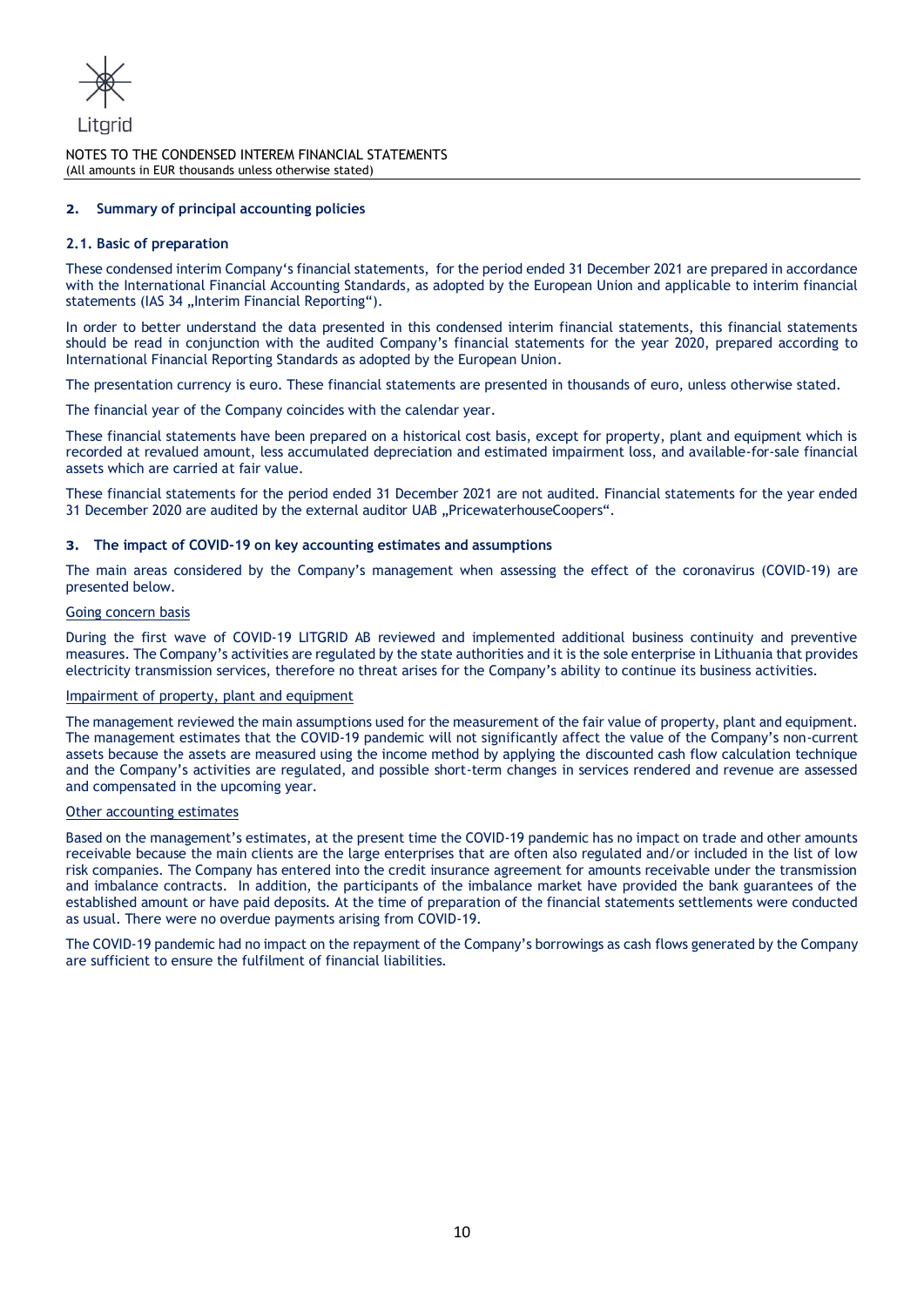

## **2. Summary of principal accounting policies**

#### **2.1. Basic of preparation**

These condensed interim Company's financial statements, for the period ended 31 December 2021 are prepared in accordance with the International Financial Accounting Standards, as adopted by the European Union and applicable to interim financial statements (IAS 34 "Interim Financial Reporting").

In order to better understand the data presented in this condensed interim financial statements, this financial statements should be read in conjunction with the audited Company's financial statements for the year 2020, prepared according to International Financial Reporting Standards as adopted by the European Union.

The presentation currency is euro. These financial statements are presented in thousands of euro, unless otherwise stated.

The financial year of the Company coincides with the calendar year.

These financial statements have been prepared on a historical cost basis, except for property, plant and equipment which is recorded at revalued amount, less accumulated depreciation and estimated impairment loss, and available-for-sale financial assets which are carried at fair value.

These financial statements for the period ended 31 December 2021 are not audited. Financial statements for the year ended 31 December 2020 are audited by the external auditor UAB "PricewaterhouseCoopers".

#### **3. The impact of COVID-19 on key accounting estimates and assumptions**

The main areas considered by the Company's management when assessing the effect of the coronavirus (COVID-19) are presented below.

#### Going concern basis

During the first wave of COVID-19 LITGRID AB reviewed and implemented additional business continuity and preventive measures. The Company's activities are regulated by the state authorities and it is the sole enterprise in Lithuania that provides electricity transmission services, therefore no threat arises for the Company's ability to continue its business activities.

#### Impairment of property, plant and equipment

The management reviewed the main assumptions used for the measurement of the fair value of property, plant and equipment. The management estimates that the COVID-19 pandemic will not significantly affect the value of the Company's non-current assets because the assets are measured using the income method by applying the discounted cash flow calculation technique and the Company's activities are regulated, and possible short-term changes in services rendered and revenue are assessed and compensated in the upcoming year.

#### Other accounting estimates

Based on the management's estimates, at the present time the COVID-19 pandemic has no impact on trade and other amounts receivable because the main clients are the large enterprises that are often also regulated and/or included in the list of low risk companies. The Company has entered into the credit insurance agreement for amounts receivable under the transmission and imbalance contracts. In addition, the participants of the imbalance market have provided the bank guarantees of the established amount or have paid deposits. At the time of preparation of the financial statements settlements were conducted as usual. There were no overdue payments arising from COVID-19.

The COVID-19 pandemic had no impact on the repayment of the Company's borrowings as cash flows generated by the Company are sufficient to ensure the fulfilment of financial liabilities.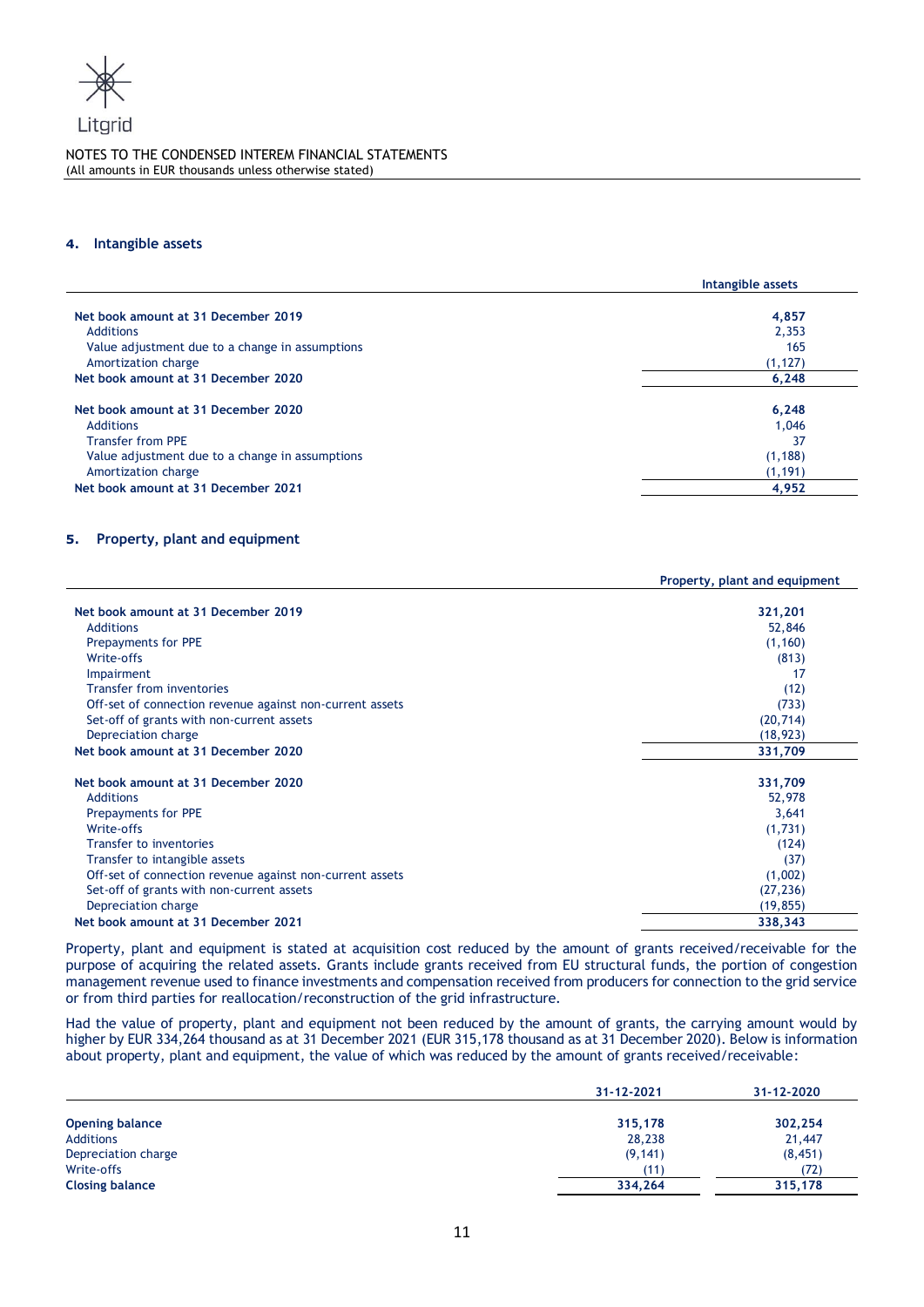

#### **4. Intangible assets**

|                                                                                                                                        | Intangible assets                |
|----------------------------------------------------------------------------------------------------------------------------------------|----------------------------------|
| Net book amount at 31 December 2019                                                                                                    | 4,857                            |
| <b>Additions</b>                                                                                                                       | 2,353                            |
| Value adjustment due to a change in assumptions                                                                                        | 165                              |
| Amortization charge                                                                                                                    | (1, 127)                         |
| Net book amount at 31 December 2020                                                                                                    | 6,248                            |
| Net book amount at 31 December 2020<br><b>Additions</b><br><b>Transfer from PPE</b><br>Value adjustment due to a change in assumptions | 6,248<br>1,046<br>37<br>(1, 188) |
| Amortization charge                                                                                                                    | (1, 191)                         |
| Net book amount at 31 December 2021                                                                                                    | 4,952                            |

# **5. Property, plant and equipment**

|                                                          | Property, plant and equipment |
|----------------------------------------------------------|-------------------------------|
|                                                          |                               |
| Net book amount at 31 December 2019                      | 321,201                       |
| <b>Additions</b>                                         | 52,846                        |
| Prepayments for PPE                                      | (1, 160)                      |
| Write-offs                                               | (813)                         |
| <b>Impairment</b>                                        | 17                            |
| <b>Transfer from inventories</b>                         | (12)                          |
| Off-set of connection revenue against non-current assets | (733)                         |
| Set-off of grants with non-current assets                | (20, 714)                     |
| Depreciation charge                                      | (18, 923)                     |
| Net book amount at 31 December 2020                      | 331,709                       |
| Net book amount at 31 December 2020                      | 331,709                       |
| <b>Additions</b>                                         | 52,978                        |
| Prepayments for PPE                                      | 3,641                         |
| Write-offs                                               | (1,731)                       |
| Transfer to inventories                                  | (124)                         |
| Transfer to intangible assets                            | (37)                          |
| Off-set of connection revenue against non-current assets | (1,002)                       |
| Set-off of grants with non-current assets                | (27, 236)                     |
| Depreciation charge                                      | (19, 855)                     |
| Net book amount at 31 December 2021                      | 338,343                       |
|                                                          |                               |

Property, plant and equipment is stated at acquisition cost reduced by the amount of grants received/receivable for the purpose of acquiring the related assets. Grants include grants received from EU structural funds, the portion of congestion management revenue used to finance investments and compensation received from producers for connection to the grid service or from third parties for reallocation/reconstruction of the grid infrastructure.

Had the value of property, plant and equipment not been reduced by the amount of grants, the carrying amount would by higher by EUR 334,264 thousand as at 31 December 2021 (EUR 315,178 thousand as at 31 December 2020). Below is information about property, plant and equipment, the value of which was reduced by the amount of grants received/receivable:

|                        | 31-12-2021      | 31-12-2020 |
|------------------------|-----------------|------------|
| <b>Opening balance</b> | 315,178         | 302,254    |
| <b>Additions</b>       | 28,238          | 21,447     |
| Depreciation charge    | (9, 141)        | (8, 451)   |
| Write-offs             | $^{\prime}$ 11) | (72)       |
| <b>Closing balance</b> | 334,264         | 315,178    |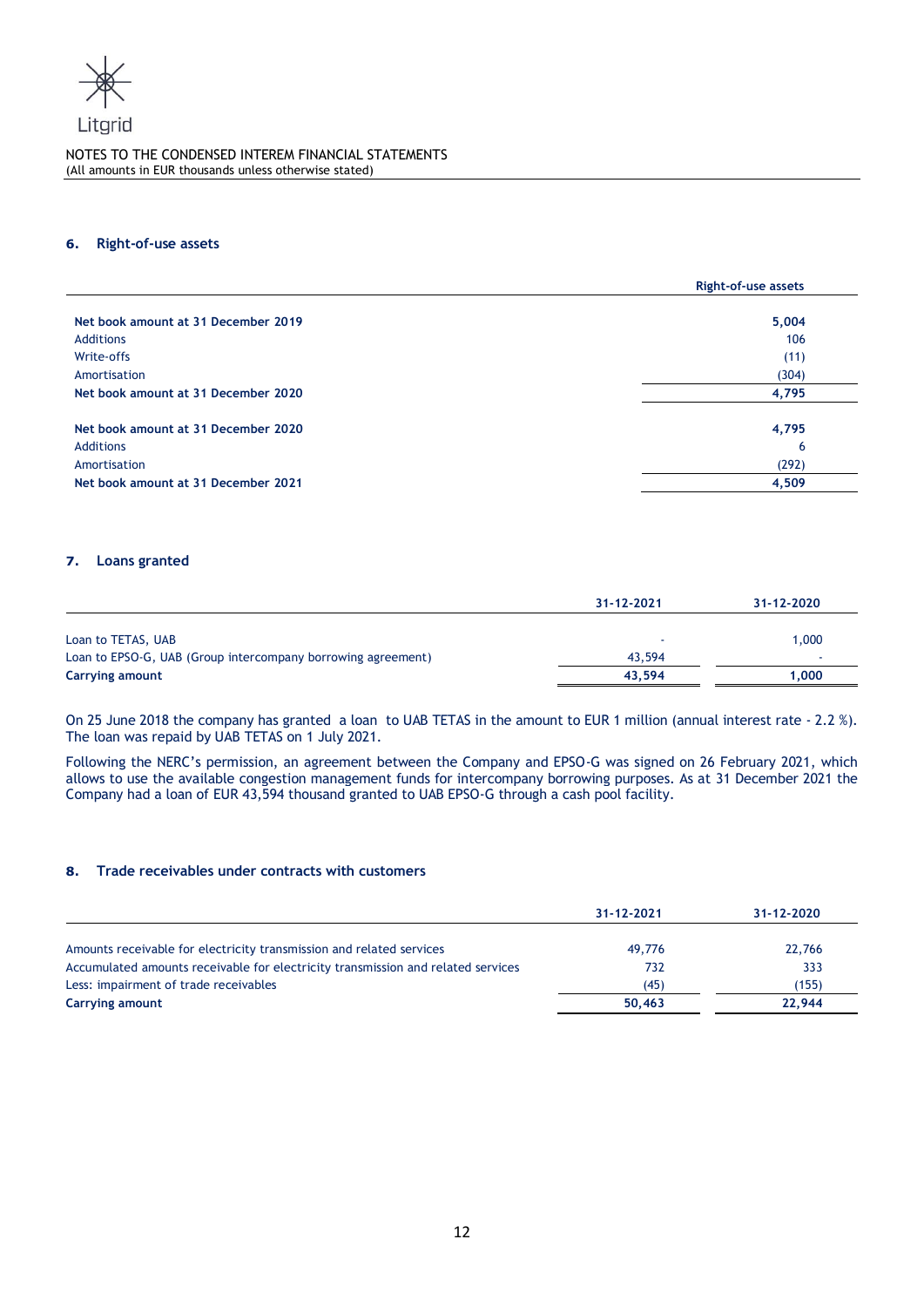

l.

#### **6. Right-of-use assets**

|                                     | <b>Right-of-use assets</b> |
|-------------------------------------|----------------------------|
|                                     |                            |
| Net book amount at 31 December 2019 | 5,004                      |
| <b>Additions</b>                    | 106                        |
| Write-offs                          | (11)                       |
| Amortisation                        | (304)                      |
| Net book amount at 31 December 2020 | 4,795                      |
| Net book amount at 31 December 2020 | 4,795                      |
| <b>Additions</b>                    | 6                          |
| Amortisation                        | (292)                      |
| Net book amount at 31 December 2021 | 4,509                      |

## **7. Loans granted**

|                                                              | 31-12-2021 | 31-12-2020 |
|--------------------------------------------------------------|------------|------------|
|                                                              |            |            |
| Loan to TETAS, UAB                                           |            | 1,000      |
| Loan to EPSO-G, UAB (Group intercompany borrowing agreement) | 43,594     |            |
| Carrying amount                                              | 43.594     | 1.000      |

On 25 June 2018 the company has granted a loan to UAB TETAS in the amount to EUR 1 million (annual interest rate - 2.2 %). The loan was repaid by UAB TETAS on 1 July 2021.

Following the NERC's permission, an agreement between the Company and EPSO-G was signed on 26 February 2021, which allows to use the available congestion management funds for intercompany borrowing purposes. As at 31 December 2021 the Company had a loan of EUR 43,594 thousand granted to UAB EPSO-G through a cash pool facility.

#### **8. Trade receivables under contracts with customers**

|                                                                                  | 31-12-2021 | 31-12-2020 |
|----------------------------------------------------------------------------------|------------|------------|
|                                                                                  |            |            |
| Amounts receivable for electricity transmission and related services             | 49,776     | 22,766     |
| Accumulated amounts receivable for electricity transmission and related services | 732        | 333        |
| Less: impairment of trade receivables                                            | (45)       | (155)      |
| <b>Carrying amount</b>                                                           | 50,463     | 22.944     |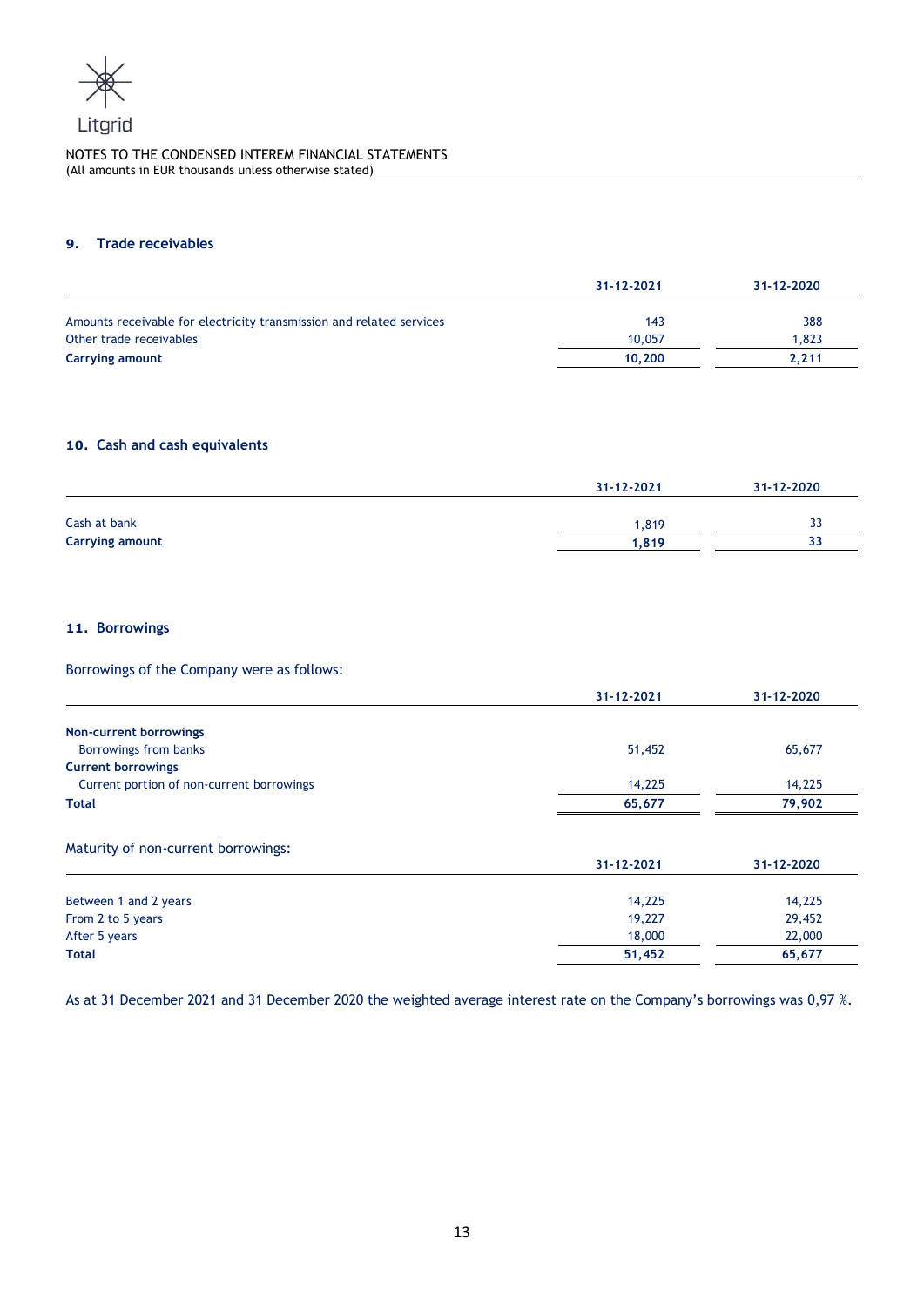

## **9. Trade receivables**

|                                                                      | 31-12-2021 | 31-12-2020 |
|----------------------------------------------------------------------|------------|------------|
|                                                                      |            |            |
| Amounts receivable for electricity transmission and related services | 143        | 388        |
| Other trade receivables                                              | 10,057     | 1.823      |
| Carrying amount                                                      | 10.200     | 2.211      |

# **10. Cash and cash equivalents**

|                        | 31-12-2021 | 31-12-2020 |
|------------------------|------------|------------|
| Cash at bank           | .819       | -<br>ر ر   |
| <b>Carrying amount</b> | 1.819      | 33         |

# **11. Borrowings**

Borrowings of the Company were as follows:

|                                           | 31-12-2021 | 31-12-2020 |
|-------------------------------------------|------------|------------|
| Non-current borrowings                    |            |            |
| Borrowings from banks                     | 51,452     | 65,677     |
| <b>Current borrowings</b>                 |            |            |
| Current portion of non-current borrowings | 14,225     | 14,225     |
| <b>Total</b>                              | 65,677     | 79,902     |
| Maturity of non-current borrowings:       |            |            |
|                                           | 31-12-2021 | 31-12-2020 |
| Between 1 and 2 years                     | 14,225     | 14,225     |
| From 2 to 5 years                         | 19,227     | 29,452     |
| After 5 years                             | 18,000     | 22,000     |
| Total                                     | 51,452     | 65,677     |

As at 31 December 2021 and 31 December 2020 the weighted average interest rate on the Company's borrowings was 0,97 %.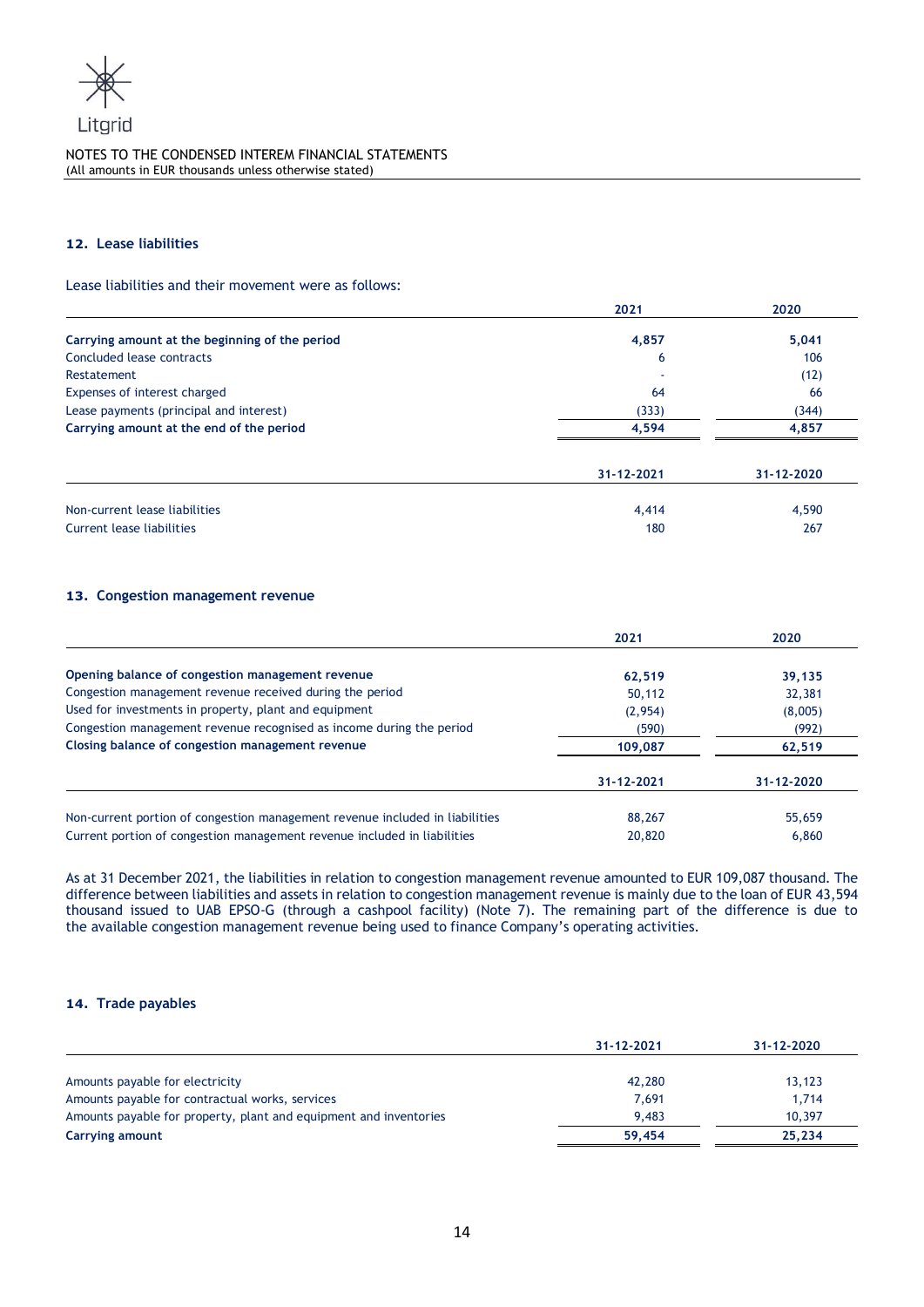

## **12. Lease liabilities**

Lease liabilities and their movement were as follows:

|                                                | 2021       | 2020       |  |
|------------------------------------------------|------------|------------|--|
| Carrying amount at the beginning of the period | 4,857      | 5,041      |  |
| Concluded lease contracts                      | 6          | 106        |  |
| Restatement                                    |            | (12)       |  |
| Expenses of interest charged                   | 64         | 66         |  |
| Lease payments (principal and interest)        | (333)      | (344)      |  |
| Carrying amount at the end of the period       | 4.594      | 4,857      |  |
|                                                | 31-12-2021 | 31-12-2020 |  |
| Non-current lease liabilities                  | 4,414      | 4,590      |  |
| Current lease liabilities                      | 180        | 267        |  |

## **13. Congestion management revenue**

|                                                                              | 2021       | 2020       |  |
|------------------------------------------------------------------------------|------------|------------|--|
| Opening balance of congestion management revenue                             | 62,519     | 39,135     |  |
| Congestion management revenue received during the period                     | 50,112     | 32,381     |  |
| Used for investments in property, plant and equipment                        | (2,954)    | (8,005)    |  |
| Congestion management revenue recognised as income during the period         | (590)      | (992)      |  |
| Closing balance of congestion management revenue                             | 109,087    | 62,519     |  |
|                                                                              | 31-12-2021 | 31-12-2020 |  |
| Non-current portion of congestion management revenue included in liabilities | 88,267     | 55,659     |  |
| Current portion of congestion management revenue included in liabilities     | 20,820     | 6,860      |  |

As at 31 December 2021, the liabilities in relation to congestion management revenue amounted to EUR 109,087 thousand. The difference between liabilities and assets in relation to congestion management revenue is mainly due to the loan of EUR 43,594 thousand issued to UAB EPSO-G (through a cashpool facility) (Note 7). The remaining part of the difference is due to the available congestion management revenue being used to finance Company's operating activities.

# **14. Trade payables**

|                                                                   | 31-12-2021 | 31-12-2020 |
|-------------------------------------------------------------------|------------|------------|
| Amounts payable for electricity                                   | 42,280     | 13,123     |
| Amounts payable for contractual works, services                   | 7.691      | 1,714      |
| Amounts payable for property, plant and equipment and inventories | 9.483      | 10,397     |
| Carrying amount                                                   | 59.454     | 25.234     |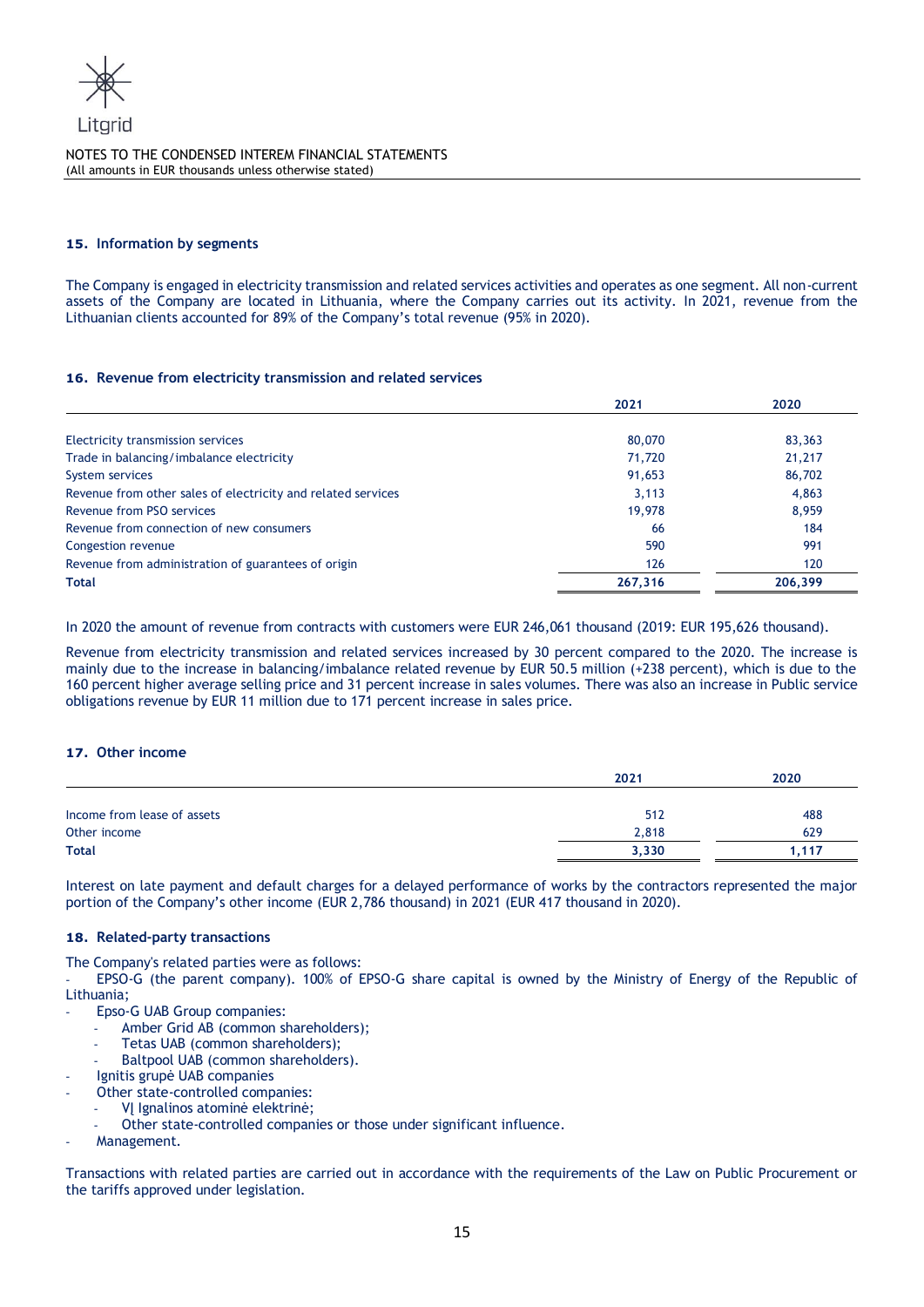

## **15. Information by segments**

The Company is engaged in electricity transmission and related services activities and operates as one segment. All non-current assets of the Company are located in Lithuania, where the Company carries out its activity. In 2021, revenue from the Lithuanian clients accounted for 89% of the Company's total revenue (95% in 2020).

#### **16. Revenue from electricity transmission and related services**

|                                                              | 2021    | 2020    |
|--------------------------------------------------------------|---------|---------|
| Electricity transmission services                            | 80,070  | 83,363  |
| Trade in balancing/imbalance electricity                     | 71,720  | 21,217  |
| System services                                              | 91,653  | 86,702  |
| Revenue from other sales of electricity and related services | 3.113   | 4,863   |
| Revenue from PSO services                                    | 19,978  | 8.959   |
| Revenue from connection of new consumers                     | 66      | 184     |
| Congestion revenue                                           | 590     | 991     |
| Revenue from administration of guarantees of origin          | 126     | 120     |
| <b>Total</b>                                                 | 267,316 | 206,399 |

In 2020 the amount of revenue from contracts with customers were EUR 246,061 thousand (2019: EUR 195,626 thousand).

Revenue from electricity transmission and related services increased by 30 percent compared to the 2020. The increase is mainly due to the increase in balancing/imbalance related revenue by EUR 50.5 million (+238 percent), which is due to the 160 percent higher average selling price and 31 percent increase in sales volumes. There was also an increase in Public service obligations revenue by EUR 11 million due to 171 percent increase in sales price.

#### **17. Other income**

|                             | 2021  | 2020  |
|-----------------------------|-------|-------|
|                             |       |       |
| Income from lease of assets | 512   | 488   |
| Other income                | 2,818 | 629   |
| <b>Total</b>                | 3,330 | l.117 |

Interest on late payment and default charges for a delayed performance of works by the contractors represented the major portion of the Company's other income (EUR 2,786 thousand) in 2021 (EUR 417 thousand in 2020).

#### **18. Related-party transactions**

The Company's related parties were as follows:

- EPSO-G (the parent company). 100% of EPSO-G share capital is owned by the Ministry of Energy of the Republic of Lithuania;

Epso-G UAB Group companies:

- Amber Grid AB (common shareholders);
- Tetas UAB (common shareholders);
- Baltpool UAB (common shareholders).
- Ignitis grupė UAB companies
- Other state-controlled companies:
	- VĮ Ignalinos atominė elektrinė;
	- Other state-controlled companies or those under significant influence.
- Management.

Transactions with related parties are carried out in accordance with the requirements of the Law on Public Procurement or the tariffs approved under legislation.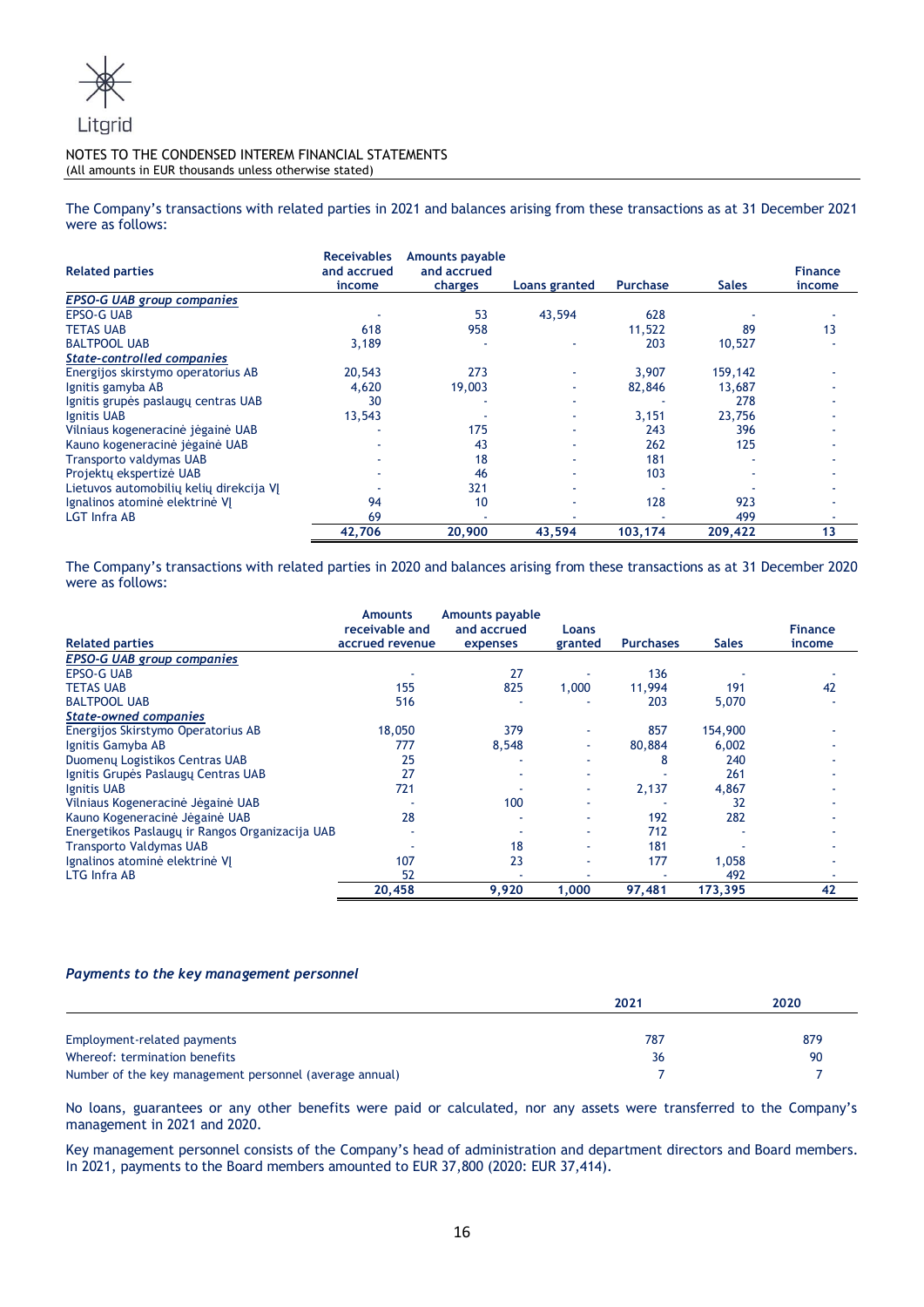

The Company's transactions with related parties in 2021 and balances arising from these transactions as at 31 December 2021 were as follows:

| <b>Related parties</b>                  | <b>Receivables</b><br>and accrued<br>income | <b>Amounts payable</b><br>and accrued<br>charges | Loans granted | <b>Purchase</b> | <b>Sales</b> | <b>Finance</b><br>income |
|-----------------------------------------|---------------------------------------------|--------------------------------------------------|---------------|-----------------|--------------|--------------------------|
| <b>EPSO-G UAB group companies</b>       |                                             |                                                  |               |                 |              |                          |
| <b>EPSO-G UAB</b>                       |                                             | 53                                               | 43,594        | 628             |              |                          |
| <b>TETAS UAB</b>                        | 618                                         | 958                                              |               | 11,522          | 89           | 13                       |
| <b>BALTPOOL UAB</b>                     | 3,189                                       |                                                  |               | 203             | 10,527       |                          |
| <b>State-controlled companies</b>       |                                             |                                                  |               |                 |              |                          |
| Energijos skirstymo operatorius AB      | 20,543                                      | 273                                              |               | 3,907           | 159,142      |                          |
| Ignitis gamyba AB                       | 4,620                                       | 19,003                                           |               | 82,846          | 13,687       |                          |
| Ignitis grupės paslaugų centras UAB     | 30                                          |                                                  |               |                 | 278          |                          |
| Ignitis UAB                             | 13,543                                      |                                                  |               | 3,151           | 23,756       |                          |
| Vilniaus kogeneracinė jėgainė UAB       |                                             | 175                                              |               | 243             | 396          |                          |
| Kauno kogeneracinė jėgainė UAB          |                                             | 43                                               |               | 262             | 125          |                          |
| <b>Transporto valdymas UAB</b>          |                                             | 18                                               |               | 181             |              |                          |
| Projekty ekspertizė UAB                 |                                             | 46                                               |               | 103             |              |                          |
| Lietuvos automobilių kelių direkcija VJ |                                             | 321                                              |               |                 |              |                          |
| Ignalinos atominė elektrinė VJ          | 94                                          | 10                                               |               | 128             | 923          |                          |
| <b>LGT Infra AB</b>                     | 69                                          |                                                  |               |                 | 499          |                          |
|                                         | 42,706                                      | 20,900                                           | 43,594        | 103,174         | 209,422      | 13                       |

The Company's transactions with related parties in 2020 and balances arising from these transactions as at 31 December 2020 were as follows:

| <b>Related parties</b>                          | <b>Amounts</b><br>receivable and<br>accrued revenue | <b>Amounts payable</b><br>and accrued<br>expenses | <b>Loans</b><br>granted | <b>Purchases</b> | <b>Sales</b> | <b>Finance</b><br>income |
|-------------------------------------------------|-----------------------------------------------------|---------------------------------------------------|-------------------------|------------------|--------------|--------------------------|
| <b>EPSO-G UAB group companies</b>               |                                                     |                                                   |                         |                  |              |                          |
| <b>EPSO-G UAB</b>                               |                                                     | 27                                                |                         | 136              |              |                          |
| <b>TETAS UAB</b>                                | 155                                                 | 825                                               | 1,000                   | 11,994           | 191          | 42                       |
| <b>BALTPOOL UAB</b>                             | 516                                                 |                                                   |                         | 203              | 5,070        |                          |
| <b>State-owned companies</b>                    |                                                     |                                                   |                         |                  |              |                          |
| Energijos Skirstymo Operatorius AB              | 18,050                                              | 379                                               |                         | 857              | 154,900      |                          |
| Ignitis Gamyba AB                               | 777                                                 | 8,548                                             | ٠                       | 80,884           | 6,002        |                          |
| Duomenų Logistikos Centras UAB                  | 25                                                  |                                                   |                         | 8                | 240          |                          |
| Ignitis Grupės Paslaugų Centras UAB             | 27                                                  |                                                   | ۰                       |                  | 261          |                          |
| Ignitis UAB                                     | 721                                                 |                                                   | ٠                       | 2,137            | 4,867        |                          |
| Vilniaus Kogeneracinė Jėgainė UAB               |                                                     | 100                                               |                         |                  | 32           |                          |
| Kauno Kogeneracinė Jėgainė UAB                  | 28                                                  |                                                   |                         | 192              | 282          |                          |
| Energetikos Paslaugų ir Rangos Organizacija UAB |                                                     |                                                   |                         | 712              |              |                          |
| <b>Transporto Valdymas UAB</b>                  |                                                     | 18                                                |                         | 181              |              |                          |
| Ignalinos atominė elektrinė VJ                  | 107                                                 | 23                                                |                         | 177              | 1.058        |                          |
| LTG Infra AB                                    | 52                                                  |                                                   |                         |                  | 492          |                          |
|                                                 | 20,458                                              | 9,920                                             | 1,000                   | 97,481           | 173,395      | 42                       |

# *Payments to the key management personnel*

|                                                         | 2021 | 2020 |
|---------------------------------------------------------|------|------|
|                                                         |      |      |
| Employment-related payments                             | 787  | 879  |
| Whereof: termination benefits                           | 36   | 90   |
| Number of the key management personnel (average annual) |      |      |

No loans, guarantees or any other benefits were paid or calculated, nor any assets were transferred to the Company's management in 2021 and 2020.

Key management personnel consists of the Company's head of administration and department directors and Board members. In 2021, payments to the Board members amounted to EUR 37,800 (2020: EUR 37,414).